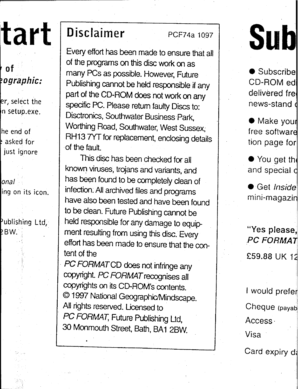# **tart**

## **of** *eographic:*

er, select the n setup.exe.

he end of asked for just ignore

onal ing on its icon.

Publishing Ltd,  $2$ BW.

# **Disclaimer**

PCF74a 1097

Every effort has been made to ensure that all of the programs on this disc work on as many PCs as possible. However, Future PUblishing cannot be held responsible if any part of the CD-ROM does not work on any specific PC. Please retum faulty Discs to: Disctronics, Southwater Business Park, Worthing Road, Southwater, West Sussex; RH13 7YT for replacement, enclosing details of the fault.

.

This disc has been checked for all known viruses, trojans and variants, and has been found to be completely clean of infection. All archived files and programs have also been tested and have been found to be clean. Future Publishing cannot be held responsible for any damage to equipment resulting from using this disc. Every effort has been made to ensure that the content of the

PC FORMAT CD does not infringe any copyright. PC FORMAT recognises all copyrights on its CD-ROM's contents. © 1997 National Geographio'Mindscape. All rights reserved. Ucensed to PC FORMAT, Future Publishing Ltd, 30 Monmouth Street, Bath, BA1 2BW.

**Sub**

• Subscribe CD-ROM ed delivered fre news-stand

• Make your free softwar tion page for

• You get the and special

• Get *Inside* mini-magazi

"Yes please, PC FORMAT £59.88 UK 1

I would prefe Cheque (payab Access-Visa

Card expiry d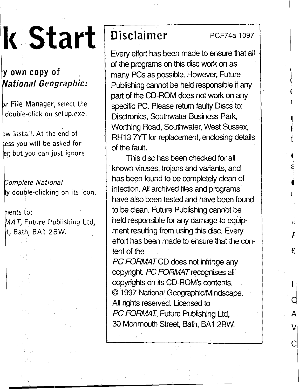# 1<. **Start**

## **yawn copy of** *ational Geographic:*

br File Manager, select the double-click on setup.exe.

w install. At the end of ess you will be asked for *er, but you can just ignore* 

**Complete National** Iy double-clicking on its icon.

hents to:

MAT, Future Publishing Ltd, 't, Bath, BAI 2BW.

Disclaimer PCF74a 1097

(

r

**ا**<br>، f

t

ĉ

n.

 $\ddot{\phantom{a}}$ 

f

£

I

 $\curvearrowright$ 

A'

V

C

Every effort has been made to ensure that all of the programs on this disc work on as many PCs as possible. However, Future Publishing cannot be held responsible *it* any part of the CD-ROM does not work on any specific PC. Please retum faulty Discs to: Disctronics, Southwater Business Park, Worthing Road, Southwater, West Sussex, RH13 7YT for replacement, enclosing details of the fault.

This disc has been checked for all known viruses, trojans and variants, and has been found to be completely clean of infection. All archived files and programs have also been tested and have been found to be clean. Future PUblishing cannot be held responsible for any damage to equipment resulting from using this disc. Every effort has been made to ensure that the content of the

PC FORMAT CD does not infringe any copyright. PC FORMAT recognises all copyrights on its CD-ROM's contents. © 1997 National Geographic/Mindscape. All rights reserved, Licensed to PC FORMAT, Future Publishing Ltd, 30 Monmouth Street, Bath. SAt 2SW.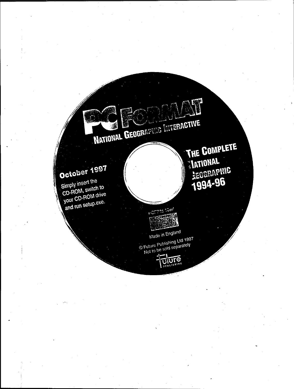NATIONAL GEOGRAPHIC INTERACTIVE

# October 1997

Simply insert the CD-ROM, switch to your CD-ROM drive and run setup.exe.

THE COMPLETE ENTIONAL AEOGRAPHIC



Made in England Future Publishing Ltd 1997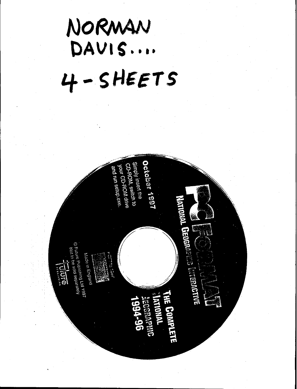

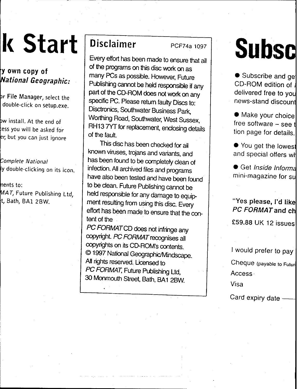# **1< Start**

### **y own copy of National Geographic:**

r File Manager, select the double-click on setup.exe.

w install. At the end of ess you will be asked for er; but you can just ignore

Complete National y double-clicking on its icon.

ents to:  $\sf{MAT}$ , Future Publishing Ltd, t, Bath, BAI 2BW.

of the programs on this disc work on as many PCs as possible. However, Future Publishing cannot be held responsible if any part of the CD-ROM does not work on any specific PC. Please return faulty Discs to: Disctronics, Southwater Business Park, Worthing Road, Southwater, West Sussex, RH13 7YT for replacement, enclosing details of the fault.

This disc has been checked for all known viruses, trojans and variants, and has been found to be completely clean of infection. All archived files and programs have also been tested and have been found to be clean. Future Publishing cannot be held responsible for any damage to equipment resulting from using this disc. Every effort has been made to ensure that the content of the

PC FORMATCD does not infringe any copyright. PC FORMAT recognises all copyrights on itsCD-ROM's contents. © 1997 National GeographioMindscape. All rights reserved. Licensed to PC FORMAT, Future Publishing Ltd, 30 Monmouth Street, Bath, SA12BW.

# Disclaimer<br>Every effort has been made to ensure that all **Subscript Subscript**

• Subscribe and ge CD-ROM edition of delivered free to you news-stand discoun

• Make your choice free software - see t tion page for details.

• You get the lowest and special offers wh

**•** Get Inside Informa mini-magazine for su

### "Yes please, I'd like PC FORMAT and ch

£59.88 UK 12 issues

I would prefer to pay Cheque (payable to Futur Access-Visa

Card expiry date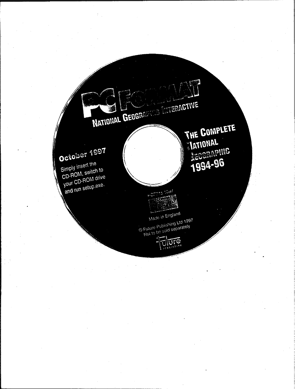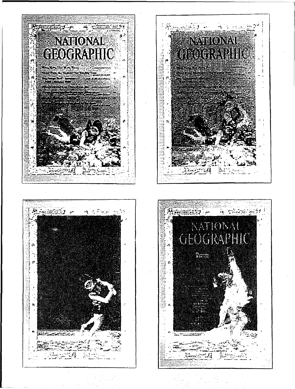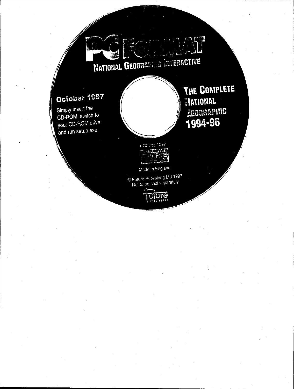# NATIONAL GEOGRAPHIC ENTERACTIVE

## October 1997

Simply insert the CD-ROM, switch to your CD-ROM drive and run setup.exe.

THE COMPLETE **SIATIONAL AECORAPHIC** 



Made in England

Euture Publishing Ltd 1997<br>Not to be sold separately

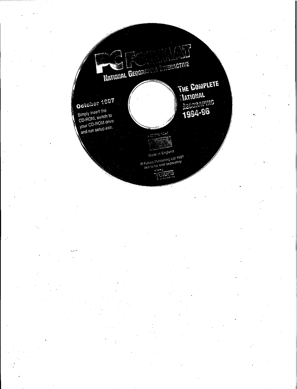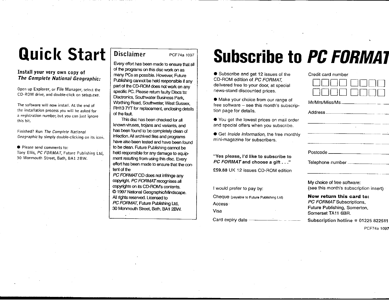#### **Install your very own copy of The Complete National Geographic:**

**Open up Explorer, or File Manager, select the CD-ROM drive, and double-click on setup.exe.**

**The software will now install. At the end of the installation process you will be asked for a registration** number; **but you can just ignore this bit.**

**Finished? Run The Complete National** *Geographic* **by simply double-clicking on its icon.**

**• Please send comments to: Tony Ellis, PC FORMAT, Future Publishing ltd, 30 Monmouth Street, Bath, BAl 2BW.**

### $Disclaimer$

Every effort has been made to ensure that all of the programs on this disc work on as many PCs as possible. However, Future Publishing cannot be held responsible if any part of the CD-ROM does not work on any specific PC. Please retum faulty Discs to: Disctronics, Southwater Business Park, Worthing Road, Southwater, West Sussex, RH13 7YT for replacement, enclosing details of the faun.

This disc has been checked for all known viruses, trojans and variants, and has been found to be completely clean of infection.All archived files and programs have also been tested and have been found to be dean. Future Publishing cannot be held responsible for any damage to equipment resulting from using this disc. Every effort has been made to ensure that the c0ntent of the

PC FORMAT CD does not infringe any copyright. PC FORMAT recognises all copyrights on fis CD-ROM's contents. © 1997 National GeographiclMindscape. All rights reserved. Ucensed to PC FORMAT, Future Publishing Ltd, 30 Monmouth Street,Bath, SA1 2SW.

# **Quick Start Subscribe to PC FORMAT**

• Subscribe and get 12 issues of the CD-ROM edition ot PC FORMAT, delivered free to your door, at special news-stand discounted prices.

**• Make your choice from our range of free software - see this month's subscrip**tion page for details.

• You get the lowest prices on mail order and special offers when you subscribe.

**• Get Inside Information, the free monthly mini-magazine for subscribers.**

"Yes please, I'd like to subscribe to PC FORMAT and choose a gift . . ."

£59.88 UK 12 issues CD-ROM edition

I would prefer to pay by:

**Cheque (payable to Future Publishing ltd)** Access·

**Visa**

Card expiry date  $-$ 

| Credit card number               |  |
|----------------------------------|--|
|                                  |  |
|                                  |  |
| Mr/Mrs/Miss/Ms _________________ |  |
|                                  |  |
|                                  |  |
|                                  |  |
|                                  |  |
|                                  |  |

Postcode. Telephone number \_

My choice of free software: (see this month's subscription insert)

#### **Now return this card to:**

PC FORMAT Subscriptions, Future Publishing, Somerton, Somerset TA<sub>11</sub> 6BR.

Subscription hotline  $\approx 01225822511$ 

PCF74a 1097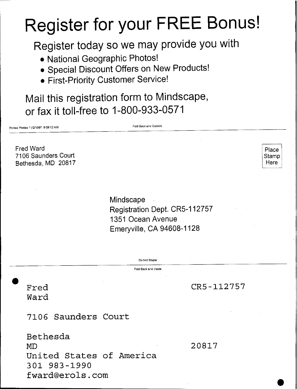# **Register for your FREE Bonus!**

Fold Back and Outside

Register today so we may provide you with

- National Geographic Photos!
- Special Discount Offers on New Products!
- First-Priority Customer Service!

Mail this registration form to Mindscape, or fax it toll-free to 1-800-933-0571

PrintedPrinted11/211997 9:09:12AM

Fred Ward 7106 Saunders Court Bethesda, MD 20817

> Mindscape Registration Dept. CR5-112757 1351 Ocean Avenue Emeryville, CA 94608-1128

> > Do Not Staple Fold Back and Inside

Fred Ward

CR5-112757

Place Stamp Here

•

7106 Saunders Court

Bethesda MD United States of America 301 983-1990 fward@erols.com

20817